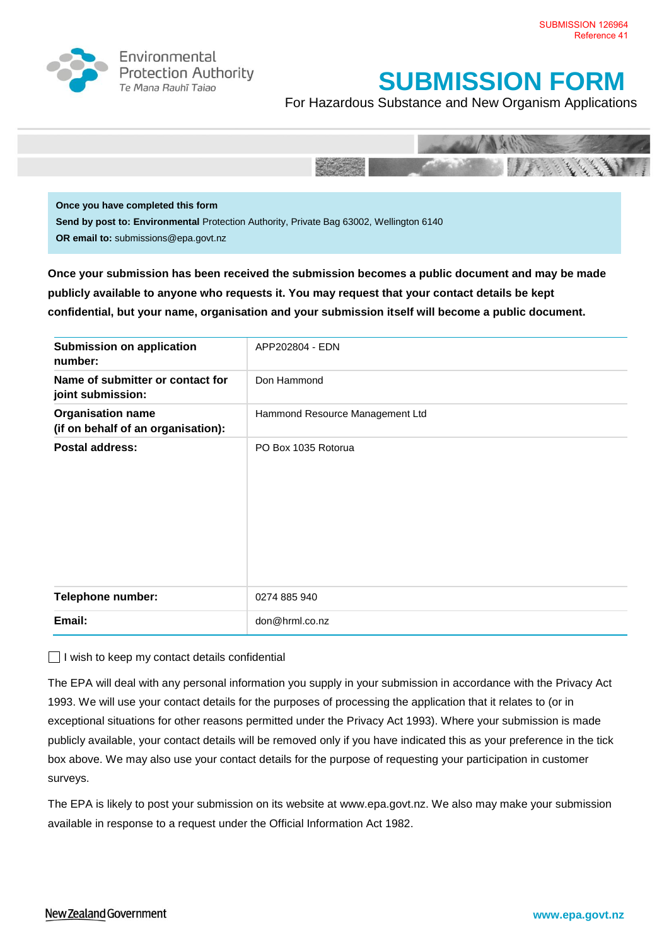

Environmental **Protection Authority** Te Mana Rauhī Tajao

## **SUBMISSION FORM**

For Hazardous Substance and New Organism Applications



**Once you have completed this form Send by post to: Environmental** Protection Authority, Private Bag 63002, Wellington 6140 **OR email to:** submissions@epa.govt.nz

**Once your submission has been received the submission becomes a public document and may be made publicly available to anyone who requests it. You may request that your contact details be kept confidential, but your name, organisation and your submission itself will become a public document.** 

| Submission on application<br>number:                           | APP202804 - EDN                 |
|----------------------------------------------------------------|---------------------------------|
| Name of submitter or contact for<br>joint submission:          | Don Hammond                     |
| <b>Organisation name</b><br>(if on behalf of an organisation): | Hammond Resource Management Ltd |
| Postal address:                                                | PO Box 1035 Rotorua             |
| <b>Telephone number:</b>                                       | 0274 885 940                    |
| Email:                                                         | don@hrml.co.nz                  |

 $\Box$  I wish to keep my contact details confidential

The EPA will deal with any personal information you supply in your submission in accordance with the Privacy Act 1993. We will use your contact details for the purposes of processing the application that it relates to (or in exceptional situations for other reasons permitted under the Privacy Act 1993). Where your submission is made publicly available, your contact details will be removed only if you have indicated this as your preference in the tick box above. We may also use your contact details for the purpose of requesting your participation in customer surveys.

The EPA is likely to post your submission on its website at [www.epa.govt.nz.](http://www.ermanz.govt.nz/) We also may make your submission available in response to a request under the Official Information Act 1982.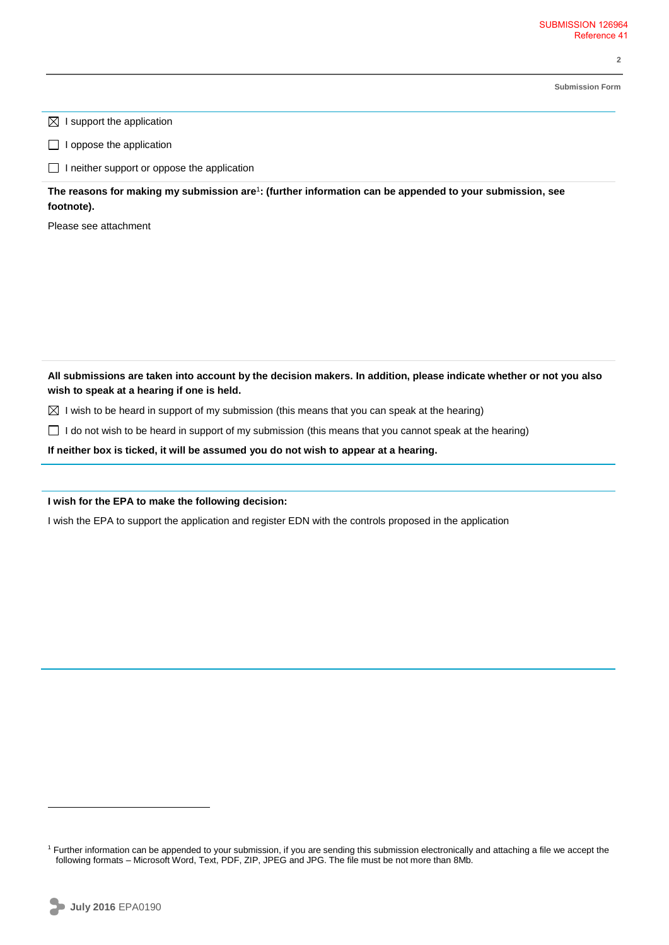**2** 

**Submission Form**

 $\boxtimes$  I support the application

 $\Box$  I oppose the application

 $\Box$  I neither support or oppose the application

**The reasons for making my submission are**<sup>1</sup> **: (further information can be appended to your submission, see footnote).**

Please see attachment

**All submissions are taken into account by the decision makers. In addition, please indicate whether or not you also wish to speak at a hearing if one is held.**

 $\boxtimes$  I wish to be heard in support of my submission (this means that you can speak at the hearing)

 $\Box$  I do not wish to be heard in support of my submission (this means that you cannot speak at the hearing)

**If neither box is ticked, it will be assumed you do not wish to appear at a hearing.**

**I wish for the EPA to make the following decision:**

I wish the EPA to support the application and register EDN with the controls proposed in the application

 $\overline{a}$ 

<sup>&</sup>lt;sup>1</sup> Further information can be appended to your submission, if you are sending this submission electronically and attaching a file we accept the following formats – Microsoft Word, Text, PDF, ZIP, JPEG and JPG. The file must be not more than 8Mb.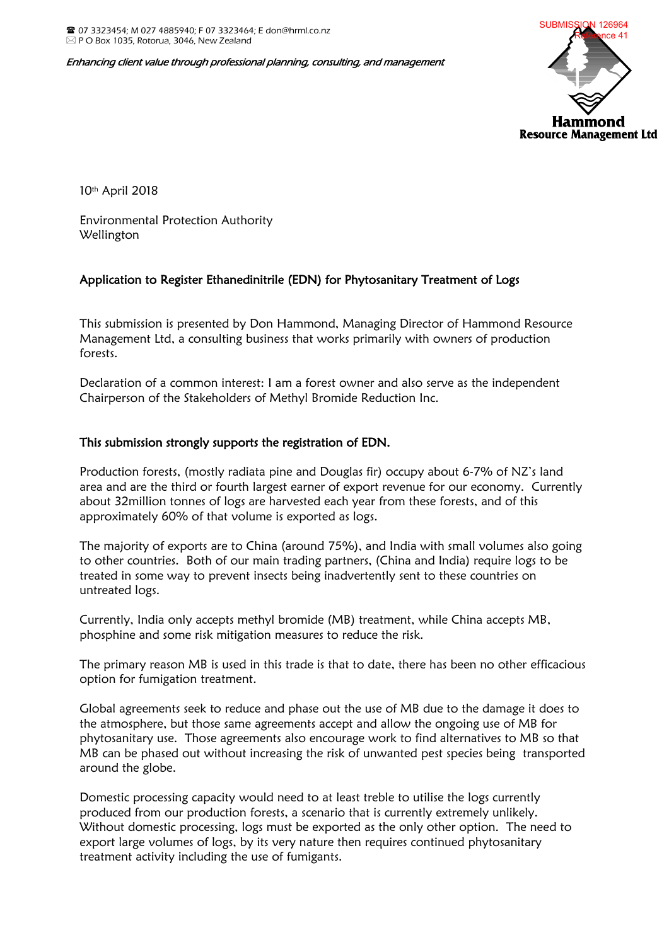Enhancing client value through professional planning, consulting, and management



10th April 2018

Environmental Protection Authority Wellington

## Application to Register Ethanedinitrile (EDN) for Phytosanitary Treatment of Logs

This submission is presented by Don Hammond, Managing Director of Hammond Resource Management Ltd, a consulting business that works primarily with owners of production forests.

Declaration of a common interest: I am a forest owner and also serve as the independent Chairperson of the Stakeholders of Methyl Bromide Reduction Inc.

## This submission strongly supports the registration of EDN.

Production forests, (mostly radiata pine and Douglas fir) occupy about 6-7% of NZ's land area and are the third or fourth largest earner of export revenue for our economy. Currently about 32million tonnes of logs are harvested each year from these forests, and of this approximately 60% of that volume is exported as logs.

The majority of exports are to China (around 75%), and India with small volumes also going to other countries. Both of our main trading partners, (China and India) require logs to be treated in some way to prevent insects being inadvertently sent to these countries on untreated logs.

Currently, India only accepts methyl bromide (MB) treatment, while China accepts MB, phosphine and some risk mitigation measures to reduce the risk.

The primary reason MB is used in this trade is that to date, there has been no other efficacious option for fumigation treatment.

Global agreements seek to reduce and phase out the use of MB due to the damage it does to the atmosphere, but those same agreements accept and allow the ongoing use of MB for phytosanitary use. Those agreements also encourage work to find alternatives to MB so that MB can be phased out without increasing the risk of unwanted pest species being transported around the globe.

Domestic processing capacity would need to at least treble to utilise the logs currently produced from our production forests, a scenario that is currently extremely unlikely. Without domestic processing, logs must be exported as the only other option. The need to export large volumes of logs, by its very nature then requires continued phytosanitary treatment activity including the use of fumigants.